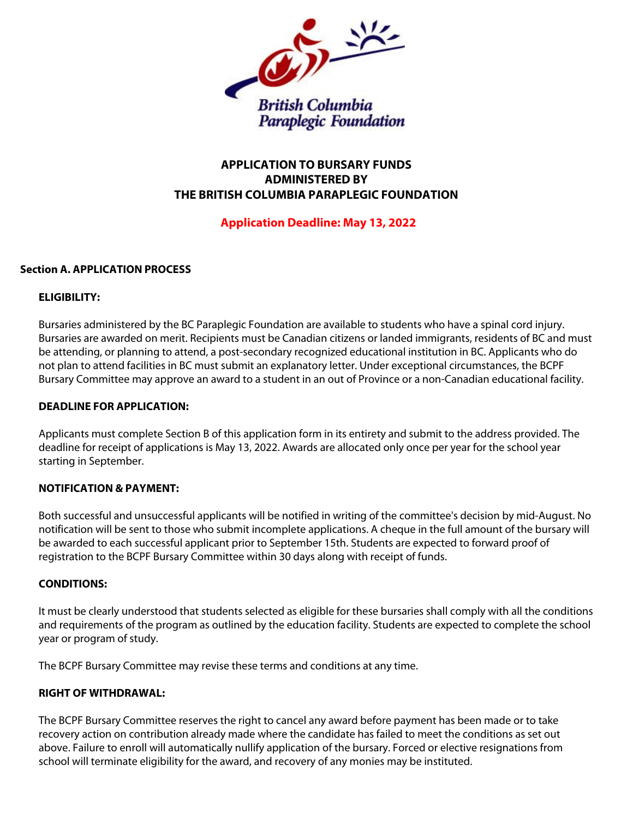

# **APPLICATION TO BURSARY FUNDS ADMINISTERED BY THE BRITISH COLUMBIA PARAPLEGIC FOUNDATION**

## **Application Deadline: May 13, 2022**

## **Section A. APPLICATION PROCESS**

## **ELIGIBILITY:**

Bursaries administered by the BC Paraplegic Foundation are available to students who have a spinal cord injury. Bursaries are awarded on merit. Recipients must be Canadian citizens or landed immigrants, residents of BC and must be attending, or planning to attend, a post-secondary recognized educational institution in BC. Applicants who do not plan to attend facilities in BC must submit an explanatory letter. Under exceptional circumstances, the BCPF Bursary Committee may approve an award to a student in an out of Province or a non-Canadian educational facility.

## **DEADLINE FOR APPLICATION:**

Applicants must complete Section B of this application form in its entirety and submit to the address provided. The deadline for receipt of applications is May 13, 2022. Awards are allocated only once per year for the school year starting in September.

## **NOTIFICATION & PAYMENT:**

Both successful and unsuccessful applicants will be notified in writing of the committee's decision by mid-August. No notification will be sent to those who submit incomplete applications. A cheque in the full amount of the bursary will be awarded to each successful applicant prior to September 15th. Students are expected to forward proof of registration to the BCPF Bursary Committee within 30 days along with receipt of funds.

## **CONDITIONS:**

It must be clearly understood that students selected as eligible for these bursaries shall comply with all the conditions and requirements of the program as outlined by the education facility. Students are expected to complete the school year or program of study.

The BCPF Bursary Committee may revise these terms and conditions at any time.

## **RIGHT OF WITHDRAWAL:**

The BCPF Bursary Committee reserves the right to cancel any award before payment has been made or to take recovery action on contribution already made where the candidate has failed to meet the conditions as set out above. Failure to enroll will automatically nullify application of the bursary. Forced or elective resignations from school will terminate eligibility for the award, and recovery of any monies may be instituted.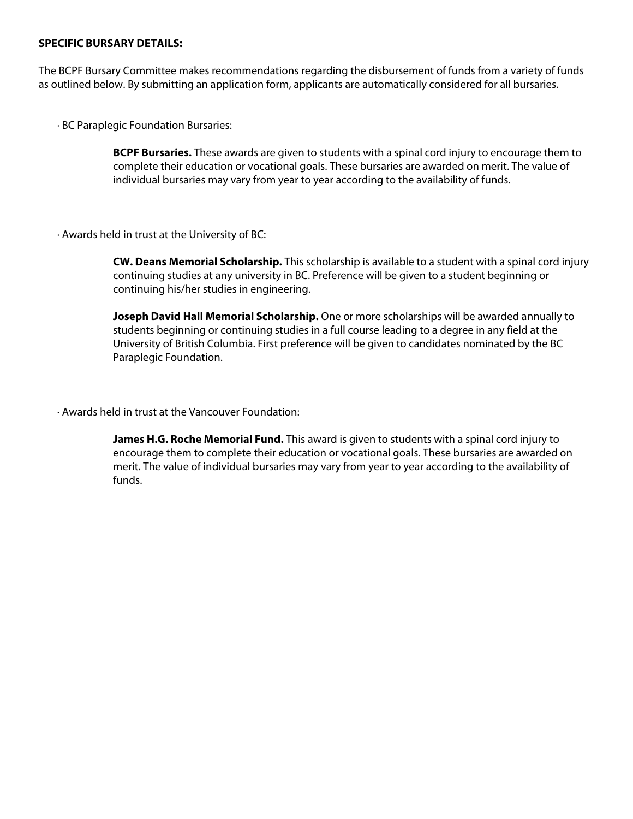## **SPECIFIC BURSARY DETAILS:**

The BCPF Bursary Committee makes recommendations regarding the disbursement of funds from a variety of funds as outlined below. By submitting an application form, applicants are automatically considered for all bursaries.

· BC Paraplegic Foundation Bursaries:

**BCPF Bursaries.** These awards are given to students with a spinal cord injury to encourage them to complete their education or vocational goals. These bursaries are awarded on merit. The value of individual bursaries may vary from year to year according to the availability of funds.

· Awards held in trust at the University of BC:

**CW. Deans Memorial Scholarship.** This scholarship is available to a student with a spinal cord injury continuing studies at any university in BC. Preference will be given to a student beginning or continuing his/her studies in engineering.

**Joseph David Hall Memorial Scholarship.** One or more scholarships will be awarded annually to students beginning or continuing studies in a full course leading to a degree in any field at the University of British Columbia. First preference will be given to candidates nominated by the BC Paraplegic Foundation.

· Awards held in trust at the Vancouver Foundation:

**James H.G. Roche Memorial Fund.** This award is given to students with a spinal cord injury to encourage them to complete their education or vocational goals. These bursaries are awarded on merit. The value of individual bursaries may vary from year to year according to the availability of funds.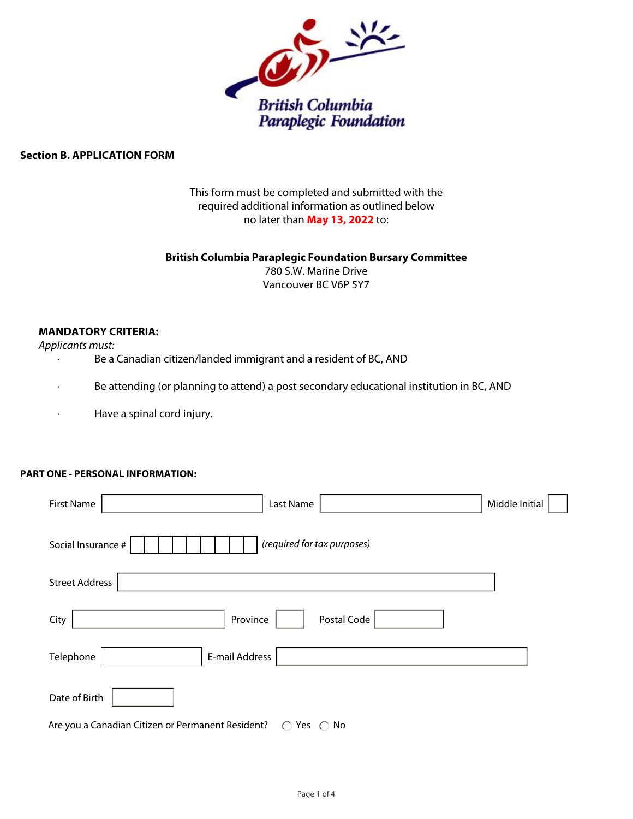

## **Section B. APPLICATION FORM**

This form must be completed and submitted with the required additional information as outlined below no later than **May 13, 2022** to:

### **British Columbia Paraplegic Foundation Bursary Committee**

780 S.W. Marine Drive Vancouver BC V6P 5Y7

## **MANDATORY CRITERIA:**

*Applicants must:*

- · Be a Canadian citizen/landed immigrant and a resident of BC, AND
- · Be attending (or planning to attend) a post secondary educational institution in BC, AND
- · Have a spinal cord injury.

## **PART ONE - PERSONAL INFORMATION:**

| <b>First Name</b><br>Last Name                                                    | Middle Initial |
|-----------------------------------------------------------------------------------|----------------|
| (required for tax purposes)<br>Social Insurance #                                 |                |
| <b>Street Address</b>                                                             |                |
| Postal Code<br>City<br>Province                                                   |                |
| E-mail Address<br>Telephone                                                       |                |
| Date of Birth                                                                     |                |
| Are you a Canadian Citizen or Permanent Resident?<br>$\bigcirc$ Yes $\bigcirc$ No |                |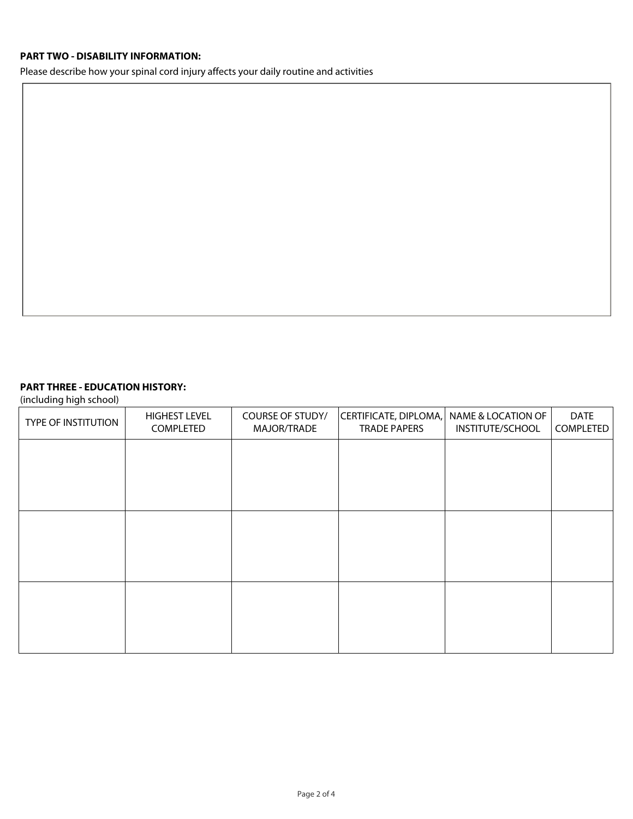## **PART TWO - DISABILITY INFORMATION:**

Please describe how your spinal cord injury affects your daily routine and activities

## **PART THREE - EDUCATION HISTORY:**

(including high school)

| <b>TYPE OF INSTITUTION</b> | <b>HIGHEST LEVEL</b><br>COMPLETED | COURSE OF STUDY/<br>MAJOR/TRADE | CERTIFICATE, DIPLOMA,<br><b>TRADE PAPERS</b> | NAME & LOCATION OF<br>INSTITUTE/SCHOOL | <b>DATE</b><br>COMPLETED |
|----------------------------|-----------------------------------|---------------------------------|----------------------------------------------|----------------------------------------|--------------------------|
|                            |                                   |                                 |                                              |                                        |                          |
|                            |                                   |                                 |                                              |                                        |                          |
|                            |                                   |                                 |                                              |                                        |                          |
|                            |                                   |                                 |                                              |                                        |                          |
|                            |                                   |                                 |                                              |                                        |                          |
|                            |                                   |                                 |                                              |                                        |                          |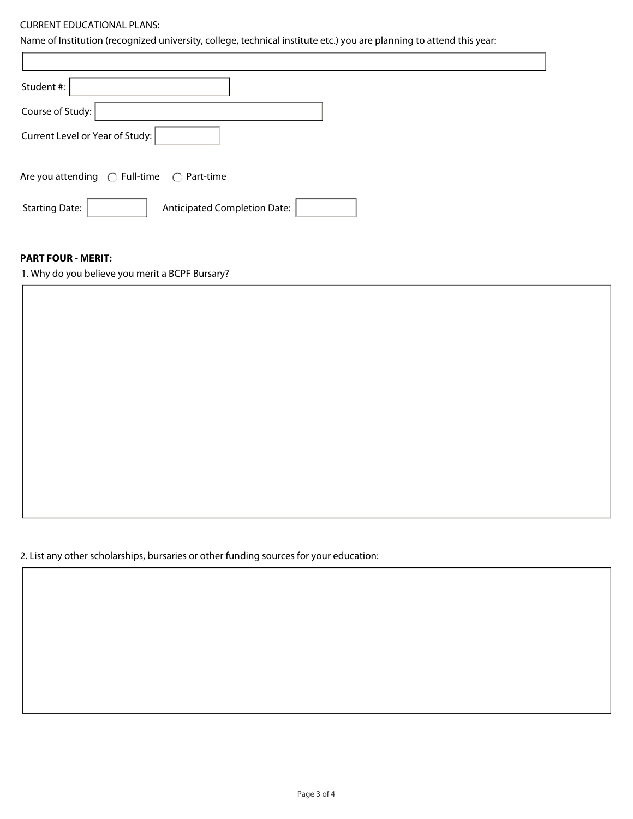### CURRENT EDUCATIONAL PLANS:

Name of Institution (recognized university, college, technical institute etc.) you are planning to attend this year:

| Student #:                                                     |
|----------------------------------------------------------------|
| Course of Study:                                               |
| Current Level or Year of Study:                                |
| Are you attending $\bigcirc$ Full-time<br>$\bigcirc$ Part-time |
| <b>Anticipated Completion Date:</b><br><b>Starting Date:</b>   |

## **PART FOUR - MERIT:**

1. Why do you believe you merit a BCPF Bursary?

2. List any other scholarships, bursaries or other funding sources for your education: